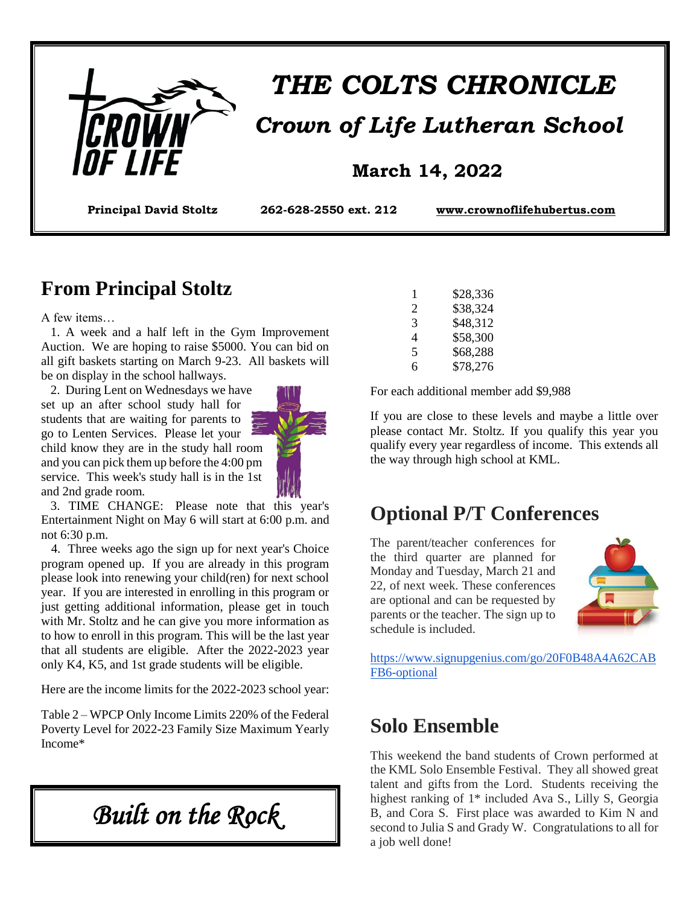

# *THE COLTS CHRONICLE Crown of Life Lutheran School*

#### **March 14, 2022**

**Principal David Stoltz 262-628-2550 ext. 212 [www.crownoflifehubertus.com](http://www.crownoflifehubertus.com/)**

#### **From Principal Stoltz**

A few items…

 1. A week and a half left in the Gym Improvement Auction. We are hoping to raise \$5000. You can bid on all gift baskets starting on March 9-23. All baskets will be on display in the school hallways.

 2. During Lent on Wednesdays we have set up an after school study hall for students that are waiting for parents to go to Lenten Services. Please let your child know they are in the study hall room and you can pick them up before the 4:00 pm service. This week's study hall is in the 1st and 2nd grade room.



 3. TIME CHANGE: Please note that this year's Entertainment Night on May 6 will start at 6:00 p.m. and not 6:30 p.m.

 4. Three weeks ago the sign up for next year's Choice program opened up. If you are already in this program please look into renewing your child(ren) for next school year. If you are interested in enrolling in this program or just getting additional information, please get in touch with Mr. Stoltz and he can give you more information as to how to enroll in this program. This will be the last year that all students are eligible. After the 2022-2023 year only K4, K5, and 1st grade students will be eligible.

Here are the income limits for the 2022-2023 school year:

Table 2 – WPCP Only Income Limits 220% of the Federal Poverty Level for 2022-23 Family Size Maximum Yearly Income\*

*Built on the Rock* 

| 1 | \$28,336 |
|---|----------|
| 2 | \$38,324 |
| 3 | \$48.312 |
| 4 | \$58,300 |
| 5 | \$68,288 |
| 6 | \$78.276 |

For each additional member add \$9,988

If you are close to these levels and maybe a little over please contact Mr. Stoltz. If you qualify this year you qualify every year regardless of income. This extends all the way through high school at KML.

#### **Optional P/T Conferences**

The parent/teacher conferences for the third quarter are planned for Monday and Tuesday, March 21 and 22, of next week. These conferences are optional and can be requested by parents or the teacher. The sign up to schedule is included.



[https://www.signupgenius.com/go/20F0B48A4A62CAB](https://www.signupgenius.com/go/20F0B48A4A62CABFB6-optional) [FB6-optional](https://www.signupgenius.com/go/20F0B48A4A62CABFB6-optional)

#### **Solo Ensemble**

This weekend the band students of Crown performed at the KML Solo Ensemble Festival. They all showed great talent and gifts from the Lord. Students receiving the highest ranking of 1\* included Ava S., Lilly S, Georgia B, and Cora S. First place was awarded to Kim N and second to Julia S and Grady W. Congratulations to all for a job well done!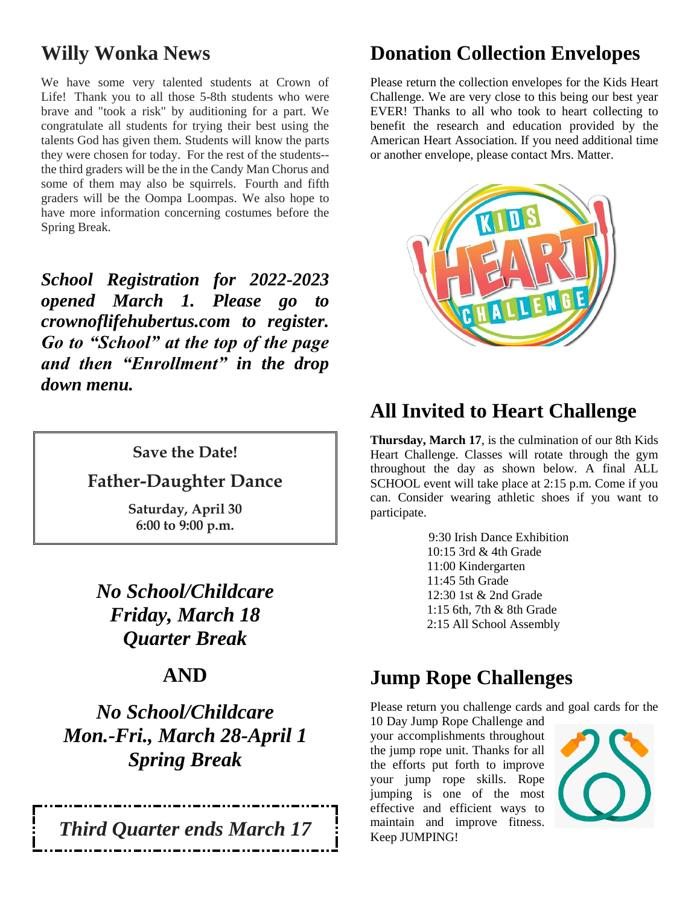### **Willy Wonka News**

We have some very talented students at Crown of Life! Thank you to all those 5-8th students who were brave and "took a risk" by auditioning for a part. We congratulate all students for trying their best using the talents God has given them. Students will know the parts they were chosen for today. For the rest of the students- the third graders will be the in the Candy Man Chorus and some of them may also be squirrels. Fourth and fifth graders will be the Oompa Loompas. We also hope to have more information concerning costumes before the Spring Break.

*School Registration for 2022-2023 opened March 1. Please go to crownoflifehubertus.com to register. Go to "School" at the top of the page and then "Enrollment" in the drop down menu.*

#### **Save the Date!**

**Father-Daughter Dance**

**Saturday, April 30 6:00 to 9:00 p.m.**

*No School/Childcare Friday, March 18 Quarter Break*

#### **AND**

*No School/Childcare Mon.-Fri., March 28-April 1 Spring Break* 

*Third Quarter ends March 17*

#### **Donation Collection Envelopes**

Please return the collection envelopes for the Kids Heart Challenge. We are very close to this being our best year EVER! Thanks to all who took to heart collecting to benefit the research and education provided by the American Heart Association. If you need additional time or another envelope, please contact Mrs. Matter.



#### **All Invited to Heart Challenge**

**Thursday, March 17**, is the culmination of our 8th Kids Heart Challenge. Classes will rotate through the gym throughout the day as shown below. A final ALL SCHOOL event will take place at 2:15 p.m. Come if you can. Consider wearing athletic shoes if you want to participate.

> 9:30 Irish Dance Exhibition 10:15 3rd & 4th Grade 11:00 Kindergarten 11:45 5th Grade 12:30 1st & 2nd Grade 1:15 6th, 7th & 8th Grade 2:15 All School Assembly

#### **Jump Rope Challenges**

Please return you challenge cards and goal cards for the

10 Day Jump Rope Challenge and your accomplishments throughout the jump rope unit. Thanks for all the efforts put forth to improve your jump rope skills. Rope jumping is one of the most effective and efficient ways to maintain and improve fitness. Keep JUMPING!

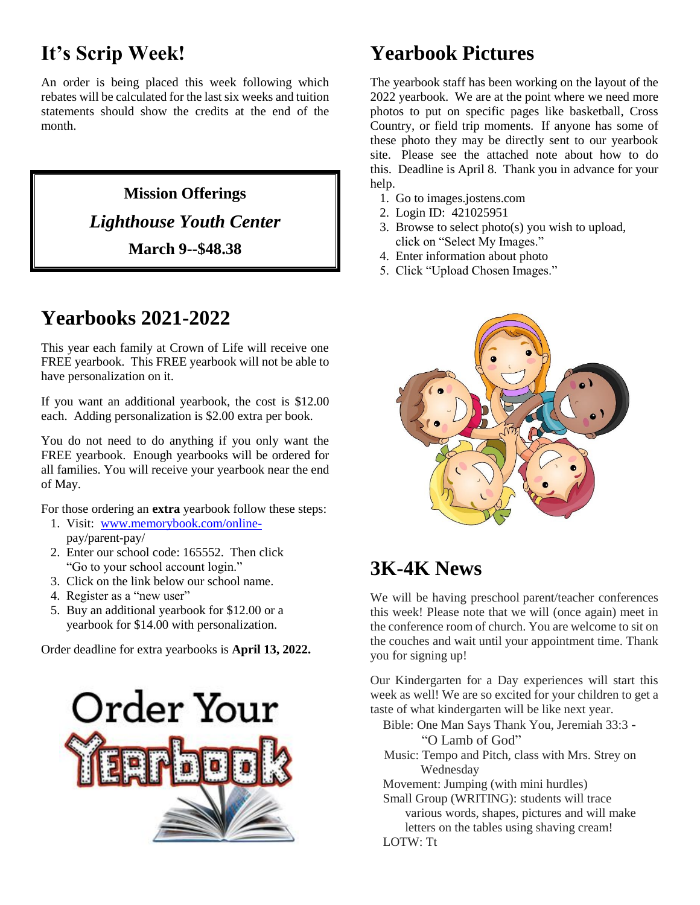# **It's Scrip Week!**

An order is being placed this week following which rebates will be calculated for the last six weeks and tuition statements should show the credits at the end of the month.

> **Mission Offerings** *Lighthouse Youth Center*

**March 9--\$48.38**

# **Yearbooks 2021-2022**

This year each family at Crown of Life will receive one FREE yearbook. This FREE yearbook will not be able to have personalization on it.

If you want an additional yearbook, the cost is \$12.00 each. Adding personalization is \$2.00 extra per book.

You do not need to do anything if you only want the FREE yearbook. Enough yearbooks will be ordered for all families. You will receive your yearbook near the end of May.

For those ordering an **extra** yearbook follow these steps:

- 1. Visit: [www.memorybook.com/online](http://www.memorybook.com/online-)  pay/parent-pay/
- 2. Enter our school code: 165552. Then click "Go to your school account login."
- 3. Click on the link below our school name.
- 4. Register as a "new user"
- 5. Buy an additional yearbook for \$12.00 or a yearbook for \$14.00 with personalization.

Order deadline for extra yearbooks is **April 13, 2022.**



# **Yearbook Pictures**

The yearbook staff has been working on the layout of the 2022 yearbook. We are at the point where we need more photos to put on specific pages like basketball, Cross Country, or field trip moments. If anyone has some of these photo they may be directly sent to our yearbook site. Please see the attached note about how to do this. Deadline is April 8. Thank you in advance for your help.

- 1. Go to images.jostens.com
- 2. Login ID: 421025951
- 3. Browse to select photo(s) you wish to upload, click on "Select My Images."
- 4. Enter information about photo
- 5. Click "Upload Chosen Images."



#### **3K-4K News**

We will be having preschool parent/teacher conferences this week! Please note that we will (once again) meet in the conference room of church. You are welcome to sit on the couches and wait until your appointment time. Thank you for signing up!

Our Kindergarten for a Day experiences will start this week as well! We are so excited for your children to get a taste of what kindergarten will be like next year.

 Bible: One Man Says Thank You, Jeremiah 33:3 - "O Lamb of God"

 Music: Tempo and Pitch, class with Mrs. Strey on Wednesday

Movement: Jumping (with mini hurdles)

 Small Group (WRITING): students will trace various words, shapes, pictures and will make letters on the tables using shaving cream! LOTW: Tt